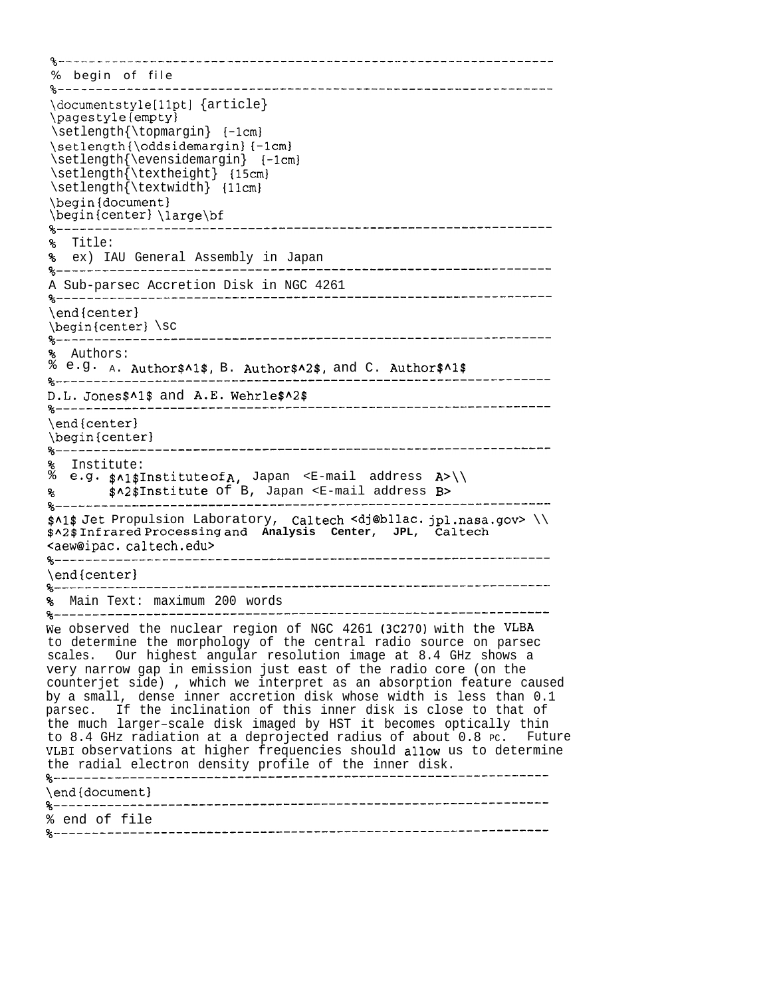%-------------------------------------------------------------------- % begin of file %----------------------------------------------------------------- \documentstyle [llptl {article} \pagestyle(empty} \setlength{\topmargin} {-lcm} \setlength{\oddsidemargin} {-lcm} \setlength{\evensidemargin} {-lcml \setlength{\textheight} {15cm) \setlength{\textwidth} {llcml \begin{documentl \begin{centerl \large\bf %----------------------------------------------------------------- % Title: % ex) IAU General Assembly in Japan %----------------------------------------------------------------- A Sub-parsec Accretion Disk in NGC 4261 %----------------------------------------------------------------- \end{center)  $\begin{cases} \text{center} \\ \text{sc} \\ \text{green} \end{cases}$ %----------------------------------------------------------------- % Authors:<br> $% \n\begin{bmatrix}\n\bullet & \bullet & \bullet \\
\bullet & \bullet & \bullet\n\end{bmatrix}$ e.g.  $_A$ . Author\$^1\$, B. Author\$^2\$, and C. Author\$^1\$ %----------------------------------------------------------------- D.L. Jones\$Al\$ and A.E. Wehrle\$A2\$ %----------------------------------------------------------------- \end{centerl \begin{centerl %----------------------------------------------------------------- % Institute: % e.g. \$A1\$ Institute Of A, Japan <E-mail address A>\\ % \$A2\$ Institute of B, Japan <E-mail address B> %----------------------------------------------------------------- \$AI\$ Jet Propulsion Laboratory, Caltech cdj@bllac. jpl.nasa.gov> \\ \$A2\$ Infrared processing and **Analysis Center, JPL, Caltech <aew@ipaC.** caltech.edu> %----------------------------------------------------------------- \end{center} %----------------------------------------------------------------- % Main Text: maximum 200 words %----------------------------------------------------------------- We observed the nuclear region of NGC 4261 (3C270) with the VLBA to determine the morphology of the central radio source on parsec scales. Our highest angular resolution image at 8.4 GHz shows a very narrow gap in emission just east of the radio core (on the counterjet side) , which we interpret as an absorption feature caused by a small, dense inner accretion disk whose width is less than 0.1 parsec. If the inclination of this inner disk is close to that of the much larger–scale disk imaged by HST it becomes optically thin to 8.4 GHz radiation at a deprojected radius of about 0.8 PC. Future VLBI observations at higher frequencies should allow us to determine the radial electron density profile of the inner disk. %----------------------------------------------------------------- \end{document} %----------------------------------------------------------------- % end of file %-----------------------------------------------------------------